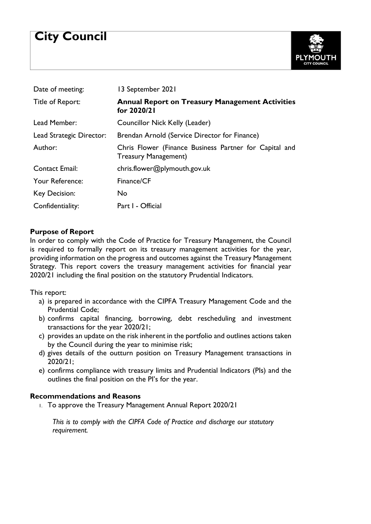# **City Council**



| Date of meeting:         | 13 September 2021                                                                     |
|--------------------------|---------------------------------------------------------------------------------------|
| Title of Report:         | <b>Annual Report on Treasury Management Activities</b><br>for 2020/21                 |
| Lead Member:             | Councillor Nick Kelly (Leader)                                                        |
| Lead Strategic Director: | Brendan Arnold (Service Director for Finance)                                         |
| Author:                  | Chris Flower (Finance Business Partner for Capital and<br><b>Treasury Management)</b> |
| <b>Contact Email:</b>    | chris.flower@plymouth.gov.uk                                                          |
| Your Reference:          | Finance/CF                                                                            |
| <b>Key Decision:</b>     | No.                                                                                   |
| Confidentiality:         | Part I - Official                                                                     |

#### **Purpose of Report**

In order to comply with the Code of Practice for Treasury Management, the Council is required to formally report on its treasury management activities for the year, providing information on the progress and outcomes against the Treasury Management Strategy. This report covers the treasury management activities for financial year 2020/21 including the final position on the statutory Prudential Indicators.

This report:

- a) is prepared in accordance with the CIPFA Treasury Management Code and the Prudential Code;
- b) confirms capital financing, borrowing, debt rescheduling and investment transactions for the year 2020/21;
- c) provides an update on the risk inherent in the portfolio and outlines actions taken by the Council during the year to minimise risk;
- d) gives details of the outturn position on Treasury Management transactions in 2020/21;
- e) confirms compliance with treasury limits and Prudential Indicators (PIs) and the outlines the final position on the PI's for the year.

#### **Recommendations and Reasons**

1. To approve the Treasury Management Annual Report 2020/21

*This is to comply with the CIPFA Code of Practice and discharge our statutory requirement.*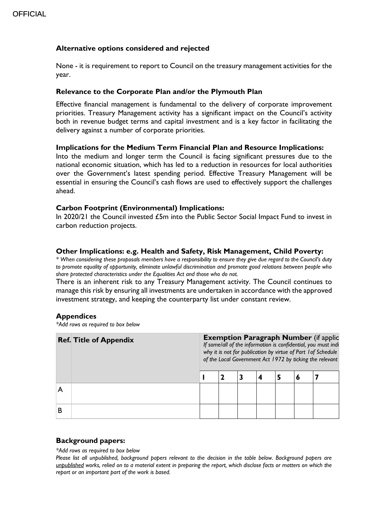## **Alternative options considered and rejected**

None - it is requirement to report to Council on the treasury management activities for the year.

#### **Relevance to the Corporate Plan and/or the Plymouth Plan**

Effective financial management is fundamental to the delivery of corporate improvement priorities. Treasury Management activity has a significant impact on the Council's activity both in revenue budget terms and capital investment and is a key factor in facilitating the delivery against a number of corporate priorities.

#### **Implications for the Medium Term Financial Plan and Resource Implications:**

Into the medium and longer term the Council is facing significant pressures due to the national economic situation, which has led to a reduction in resources for local authorities over the Government's latest spending period. Effective Treasury Management will be essential in ensuring the Council's cash flows are used to effectively support the challenges ahead.

#### **Carbon Footprint (Environmental) Implications:**

In 2020/21 the Council invested £5m into the Public Sector Social Impact Fund to invest in carbon reduction projects.

#### **Other Implications: e.g. Health and Safety, Risk Management, Child Poverty:**

*\* When considering these proposals members have a responsibility to ensure they give due regard to the Council's duty to promote equality of opportunity, eliminate unlawful discrimination and promote good relations between people who share protected characteristics under the Equalities Act and those who do not.*

There is an inherent risk to any Treasury Management activity. The Council continues to manage this risk by ensuring all investments are undertaken in accordance with the approved investment strategy, and keeping the counterparty list under constant review.

#### **Appendices**

*\*Add rows as required to box below*

|   | <b>Ref. Title of Appendix</b> | <b>Exemption Paragraph Number (if applic</b><br>If some/all of the information is confidential, you must indi<br>why it is not for publication by virtue of Part 1 of Schedule<br>of the Local Government Act 1972 by ticking the relevant |  |  |  |  |  |  |
|---|-------------------------------|--------------------------------------------------------------------------------------------------------------------------------------------------------------------------------------------------------------------------------------------|--|--|--|--|--|--|
|   |                               |                                                                                                                                                                                                                                            |  |  |  |  |  |  |
|   |                               |                                                                                                                                                                                                                                            |  |  |  |  |  |  |
| В |                               |                                                                                                                                                                                                                                            |  |  |  |  |  |  |

#### **Background papers:**

*\*Add rows as required to box below*

*Please list all unpublished, background papers relevant to the decision in the table below. Background papers are unpublished works, relied on to a material extent in preparing the report, which disclose facts or matters on which the report or an important part of the work is based.*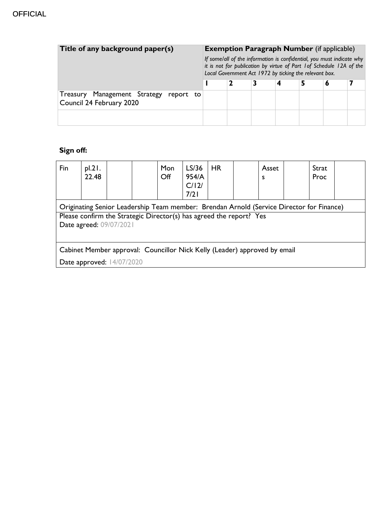| Title of any background paper(s)                                      |  | <b>Exemption Paragraph Number</b> (if applicable)<br>If some/all of the information is confidential, you must indicate why<br>it is not for publication by virtue of Part 1 of Schedule 12A of the<br>Local Government Act 1972 by ticking the relevant box. |  |   |  |   |  |
|-----------------------------------------------------------------------|--|--------------------------------------------------------------------------------------------------------------------------------------------------------------------------------------------------------------------------------------------------------------|--|---|--|---|--|
|                                                                       |  |                                                                                                                                                                                                                                                              |  | 4 |  | O |  |
| Treasury Management Strategy<br>report to<br>Council 24 February 2020 |  |                                                                                                                                                                                                                                                              |  |   |  |   |  |
|                                                                       |  |                                                                                                                                                                                                                                                              |  |   |  |   |  |

## **Sign off:**

| Fin                                                                                                                                                                                        | pl.21.<br>22.48 |  |  | Mon<br>Off | LS/36<br>954/A<br>C/12/<br>7/21 | HR |  | Asset<br>s |  | Strat<br>Proc |  |
|--------------------------------------------------------------------------------------------------------------------------------------------------------------------------------------------|-----------------|--|--|------------|---------------------------------|----|--|------------|--|---------------|--|
| Originating Senior Leadership Team member: Brendan Arnold (Service Director for Finance)<br>Please confirm the Strategic Director(s) has agreed the report? Yes<br>Date agreed: 09/07/2021 |                 |  |  |            |                                 |    |  |            |  |               |  |
| Cabinet Member approval: Councillor Nick Kelly (Leader) approved by email                                                                                                                  |                 |  |  |            |                                 |    |  |            |  |               |  |
| Date approved: 14/07/2020                                                                                                                                                                  |                 |  |  |            |                                 |    |  |            |  |               |  |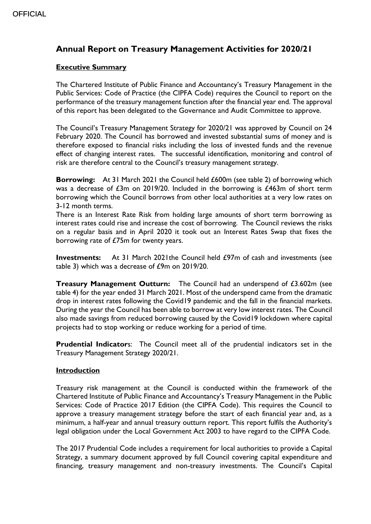## **Annual Report on Treasury Management Activities for 2020/21**

## **Executive Summary**

The Chartered Institute of Public Finance and Accountancy's Treasury Management in the Public Services: Code of Practice (the CIPFA Code) requires the Council to report on the performance of the treasury management function after the financial year end. The approval of this report has been delegated to the Governance and Audit Committee to approve.

The Council's Treasury Management Strategy for 2020/21 was approved by Council on 24 February 2020. The Council has borrowed and invested substantial sums of money and is therefore exposed to financial risks including the loss of invested funds and the revenue effect of changing interest rates. The successful identification, monitoring and control of risk are therefore central to the Council's treasury management strategy.

**Borrowing:** At 31 March 2021 the Council held £600m (see table 2) of borrowing which was a decrease of £3m on 2019/20. Included in the borrowing is £463m of short term borrowing which the Council borrows from other local authorities at a very low rates on 3-12 month terms.

There is an Interest Rate Risk from holding large amounts of short term borrowing as interest rates could rise and increase the cost of borrowing. The Council reviews the risks on a regular basis and in April 2020 it took out an Interest Rates Swap that fixes the borrowing rate of £75m for twenty years.

**Investments:** At 31 March 2021the Council held £97m of cash and investments (see table 3) which was a decrease of £9m on 2019/20.

**Treasury Management Outturn:** The Council had an underspend of £3.602m (see table 4) for the year ended 31 March 2021. Most of the underspend came from the dramatic drop in interest rates following the Covid19 pandemic and the fall in the financial markets. During the year the Council has been able to borrow at very low interest rates. The Council also made savings from reduced borrowing caused by the Covid19 lockdown where capital projects had to stop working or reduce working for a period of time.

**Prudential Indicator**s: The Council meet all of the prudential indicators set in the Treasury Management Strategy 2020/21.

#### **Introduction**

Treasury risk management at the Council is conducted within the framework of the Chartered Institute of Public Finance and Accountancy's Treasury Management in the Public Services: Code of Practice 2017 Edition (the CIPFA Code). This requires the Council to approve a treasury management strategy before the start of each financial year and, as a minimum, a half-year and annual treasury outturn report. This report fulfils the Authority's legal obligation under the Local Government Act 2003 to have regard to the CIPFA Code.

The 2017 Prudential Code includes a requirement for local authorities to provide a Capital Strategy, a summary document approved by full Council covering capital expenditure and financing, treasury management and non-treasury investments. The Council's Capital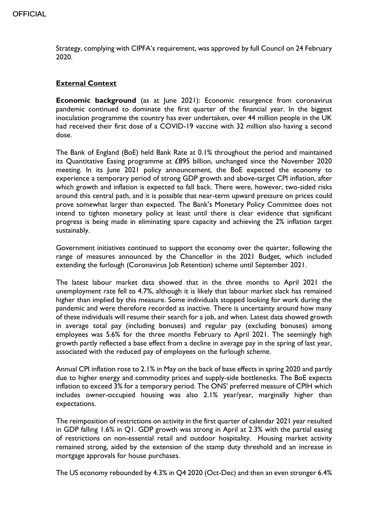Strategy, complying with CIPFA's requirement, was approved by full Council on 24 February 2020.

## **External Context**

**Economic background** (as at June 2021): Economic resurgence from coronavirus pandemic continued to dominate the first quarter of the financial year. In the biggest inoculation programme the country has ever undertaken, over 44 million people in the UK had received their first dose of a COVID-19 vaccine with 32 million also having a second dose.

The Bank of England (BoE) held Bank Rate at 0.1% throughout the period and maintained its Quantitative Easing programme at £895 billion, unchanged since the November 2020 meeting. In its June 2021 policy announcement, the BoE expected the economy to experience a temporary period of strong GDP growth and above-target CPI inflation, after which growth and inflation is expected to fall back. There were, however, two-sided risks around this central path, and it is possible that near-term upward pressure on prices could prove somewhat larger than expected. The Bank's Monetary Policy Committee does not intend to tighten monetary policy at least until there is clear evidence that significant progress is being made in eliminating spare capacity and achieving the 2% inflation target sustainably.

Government initiatives continued to support the economy over the quarter, following the range of measures announced by the Chancellor in the 2021 Budget, which included extending the furlough (Coronavirus Job Retention) scheme until September 2021.

The latest labour market data showed that in the three months to April 2021 the unemployment rate fell to 4.7%, although it is likely that labour market slack has remained higher than implied by this measure. Some individuals stopped looking for work during the pandemic and were therefore recorded as inactive. There is uncertainty around how many of these individuals will resume their search for a job, and when. Latest data showed growth in average total pay (including bonuses) and regular pay (excluding bonuses) among employees was 5.6% for the three months February to April 2021. The seemingly high growth partly reflected a base effect from a decline in average pay in the spring of last year, associated with the reduced pay of employees on the furlough scheme.

Annual CPI inflation rose to 2.1% in May on the back of base effects in spring 2020 and partly due to higher energy and commodity prices and supply-side bottlenecks. The BoE expects inflation to exceed 3% for a temporary period. The ONS' preferred measure of CPIH which includes owner-occupied housing was also 2.1% year/year, marginally higher than expectations.

The reimposition of restrictions on activity in the first quarter of calendar 2021 year resulted in GDP falling 1.6% in Q1. GDP growth was strong in April at 2.3% with the partial easing of restrictions on non-essential retail and outdoor hospitality. Housing market activity remained strong, aided by the extension of the stamp duty threshold and an increase in mortgage approvals for house purchases.

The US economy rebounded by 4.3% in Q4 2020 (Oct-Dec) and then an even stronger 6.4%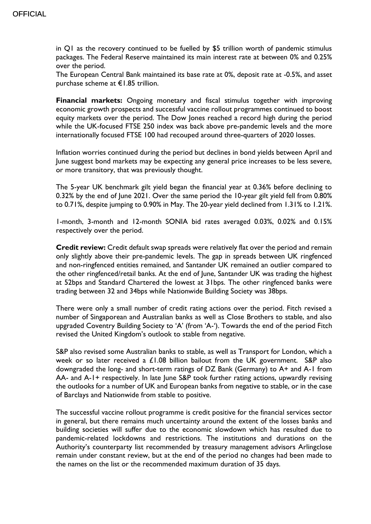in Q1 as the recovery continued to be fuelled by \$5 trillion worth of pandemic stimulus packages. The Federal Reserve maintained its main interest rate at between 0% and 0.25% over the period.

The European Central Bank maintained its base rate at 0%, deposit rate at -0.5%, and asset purchase scheme at €1.85 trillion.

**Financial markets:** Ongoing monetary and fiscal stimulus together with improving economic growth prospects and successful vaccine rollout programmes continued to boost equity markets over the period. The Dow Jones reached a record high during the period while the UK-focused FTSE 250 index was back above pre-pandemic levels and the more internationally focused FTSE 100 had recouped around three-quarters of 2020 losses.

Inflation worries continued during the period but declines in bond yields between April and June suggest bond markets may be expecting any general price increases to be less severe, or more transitory, that was previously thought.

The 5-year UK benchmark gilt yield began the financial year at 0.36% before declining to 0.32% by the end of June 2021. Over the same period the 10-year gilt yield fell from 0.80% to 0.71%, despite jumping to 0.90% in May. The 20-year yield declined from 1.31% to 1.21%.

1-month, 3-month and 12-month SONIA bid rates averaged 0.03%, 0.02% and 0.15% respectively over the period.

**Credit review:** Credit default swap spreads were relatively flat over the period and remain only slightly above their pre-pandemic levels. The gap in spreads between UK ringfenced and non-ringfenced entities remained, and Santander UK remained an outlier compared to the other ringfenced/retail banks. At the end of June, Santander UK was trading the highest at 52bps and Standard Chartered the lowest at 31bps. The other ringfenced banks were trading between 32 and 34bps while Nationwide Building Society was 38bps.

There were only a small number of credit rating actions over the period. Fitch revised a number of Singaporean and Australian banks as well as Close Brothers to stable, and also upgraded Coventry Building Society to 'A' (from 'A-'). Towards the end of the period Fitch revised the United Kingdom's outlook to stable from negative.

S&P also revised some Australian banks to stable, as well as Transport for London, which a week or so later received a £1.08 billion bailout from the UK government. S&P also downgraded the long- and short-term ratings of DZ Bank (Germany) to A+ and A-1 from AA- and A-1+ respectively. In late June S&P took further rating actions, upwardly revising the outlooks for a number of UK and European banks from negative to stable, or in the case of Barclays and Nationwide from stable to positive.

The successful vaccine rollout programme is credit positive for the financial services sector in general, but there remains much uncertainty around the extent of the losses banks and building societies will suffer due to the economic slowdown which has resulted due to pandemic-related lockdowns and restrictions. The institutions and durations on the Authority's counterparty list recommended by treasury management advisors Arlingclose remain under constant review, but at the end of the period no changes had been made to the names on the list or the recommended maximum duration of 35 days.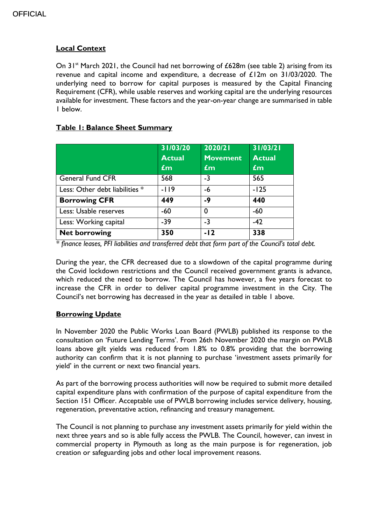## **Local Context**

On  $31<sup>st</sup>$  March 2021, the Council had net borrowing of £628m (see table 2) arising from its revenue and capital income and expenditure, a decrease of £12m on 31/03/2020. The underlying need to borrow for capital purposes is measured by the Capital Financing Requirement (CFR), while usable reserves and working capital are the underlying resources available for investment. These factors and the year-on-year change are summarised in table 1 below.

## **Table 1: Balance Sheet Summary**

|                                | 31/03/20<br><b>Actual</b><br>$\mathbf{f}$ m | 2020/21<br><b>Movement</b><br>$\mathbf{f}$ m | 31/03/21<br><b>Actual</b><br>$\mathbf{f}$ m |
|--------------------------------|---------------------------------------------|----------------------------------------------|---------------------------------------------|
| <b>General Fund CFR</b>        | 568                                         | $-3$                                         | 565                                         |
| Less: Other debt liabilities * | $-119$                                      | -6                                           | $-125$                                      |
| <b>Borrowing CFR</b>           | 449                                         | $-9$                                         | 440                                         |
| Less: Usable reserves          | $-60$                                       | $\Omega$                                     | $-60$                                       |
| Less: Working capital          | $-39$                                       | $-3$                                         | $-42$                                       |
| <b>Net borrowing</b>           | 350                                         | $-12$                                        | 338                                         |

*\* finance leases, PFI liabilities and transferred debt that form part of the Council's total debt.*

During the year, the CFR decreased due to a slowdown of the capital programme during the Covid lockdown restrictions and the Council received government grants is advance, which reduced the need to borrow. The Council has however, a five years forecast to increase the CFR in order to deliver capital programme investment in the City. The Council's net borrowing has decreased in the year as detailed in table 1 above.

## **Borrowing Update**

In November 2020 the Public Works Loan Board (PWLB) published its response to the consultation on 'Future Lending Terms'. From 26th November 2020 the margin on PWLB loans above gilt yields was reduced from 1.8% to 0.8% providing that the borrowing authority can confirm that it is not planning to purchase 'investment assets primarily for yield' in the current or next two financial years.

As part of the borrowing process authorities will now be required to submit more detailed capital expenditure plans with confirmation of the purpose of capital expenditure from the Section 151 Officer. Acceptable use of PWLB borrowing includes service delivery, housing, regeneration, preventative action, refinancing and treasury management.

The Council is not planning to purchase any investment assets primarily for yield within the next three years and so is able fully access the PWLB. The Council, however, can invest in commercial property in Plymouth as long as the main purpose is for regeneration, job creation or safeguarding jobs and other local improvement reasons.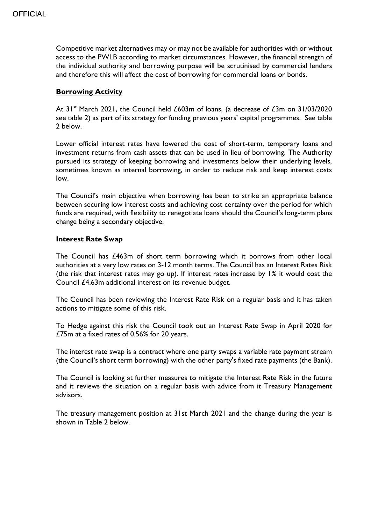Competitive market alternatives may or may not be available for authorities with or without access to the PWLB according to market circumstances. However, the financial strength of the individual authority and borrowing purpose will be scrutinised by commercial lenders and therefore this will affect the cost of borrowing for commercial loans or bonds.

#### **Borrowing Activity**

At  $31^{st}$  March 2021, the Council held £603m of loans, (a decrease of £3m on 31/03/2020 see table 2) as part of its strategy for funding previous years' capital programmes. See table 2 below.

Lower official interest rates have lowered the cost of short-term, temporary loans and investment returns from cash assets that can be used in lieu of borrowing. The Authority pursued its strategy of keeping borrowing and investments below their underlying levels, sometimes known as internal borrowing, in order to reduce risk and keep interest costs low.

The Council's main objective when borrowing has been to strike an appropriate balance between securing low interest costs and achieving cost certainty over the period for which funds are required, with flexibility to renegotiate loans should the Council's long-term plans change being a secondary objective.

#### **Interest Rate Swap**

The Council has £463m of short term borrowing which it borrows from other local authorities at a very low rates on 3-12 month terms. The Council has an Interest Rates Risk (the risk that interest rates may go up). If interest rates increase by 1% it would cost the Council £4.63m additional interest on its revenue budget.

The Council has been reviewing the Interest Rate Risk on a regular basis and it has taken actions to mitigate some of this risk.

To Hedge against this risk the Council took out an Interest Rate Swap in April 2020 for £75m at a fixed rates of 0.56% for 20 years.

The interest rate swap is a contract where one party swaps a variable rate payment stream (the Council's short term borrowing) with the other party's fixed rate payments (the Bank).

The Council is looking at further measures to mitigate the Interest Rate Risk in the future and it reviews the situation on a regular basis with advice from it Treasury Management advisors.

The treasury management position at 31st March 2021 and the change during the year is shown in Table 2 below.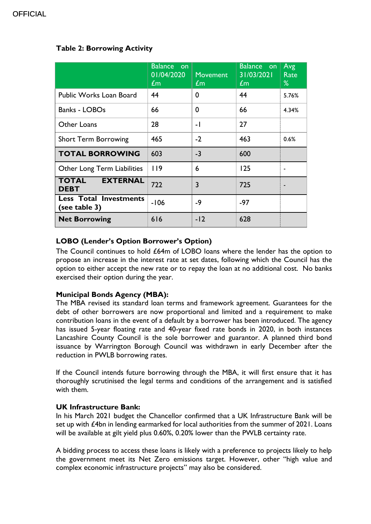|                                                | <b>Balance</b><br>on.<br>01/04/2020<br>$\mathbf{f}$ m | <b>Movement</b><br>$\mathbf{f}$ m | Balance on<br>31/03/2021<br>$\mathbf{f}$ m | Avg<br>Rate<br>% |
|------------------------------------------------|-------------------------------------------------------|-----------------------------------|--------------------------------------------|------------------|
| Public Works Loan Board                        | 44                                                    | 0                                 | 44                                         | 5.76%            |
| <b>Banks - LOBOs</b>                           | 66                                                    | 0                                 | 66                                         | 4.34%            |
| <b>Other Loans</b>                             | 28                                                    | $-1$                              | 27                                         |                  |
| <b>Short Term Borrowing</b>                    | 465                                                   | $-2$                              | 463                                        | 0.6%             |
| <b>TOTAL BORROWING</b>                         | 603                                                   | $-3$                              | 600                                        |                  |
| Other Long Term Liabilities                    | 119                                                   | 6                                 | 125                                        |                  |
| <b>TOTAL</b><br><b>EXTERNAL</b><br><b>DEBT</b> | 722                                                   | 3                                 | 725                                        |                  |
| <b>Less Total Investments</b><br>(see table 3) | $-106$                                                | $-9$                              | $-97$                                      |                  |
| <b>Net Borrowing</b>                           | 616                                                   | $-12$                             | 628                                        |                  |

## **Table 2: Borrowing Activity**

## **LOBO (Lender's Option Borrower's Option)**

The Council continues to hold £64m of LOBO loans where the lender has the option to propose an increase in the interest rate at set dates, following which the Council has the option to either accept the new rate or to repay the loan at no additional cost. No banks exercised their option during the year.

## **Municipal Bonds Agency (MBA):**

The MBA revised its standard loan terms and framework agreement. Guarantees for the debt of other borrowers are now proportional and limited and a requirement to make contribution loans in the event of a default by a borrower has been introduced. The agency has issued 5-year floating rate and 40-year fixed rate bonds in 2020, in both instances Lancashire County Council is the sole borrower and guarantor. A planned third bond issuance by Warrington Borough Council was withdrawn in early December after the reduction in PWLB borrowing rates.

If the Council intends future borrowing through the MBA, it will first ensure that it has thoroughly scrutinised the legal terms and conditions of the arrangement and is satisfied with them.

#### **UK Infrastructure Bank:**

In his March 2021 budget the Chancellor confirmed that a UK Infrastructure Bank will be set up with £4bn in lending earmarked for local authorities from the summer of 2021. Loans will be available at gilt yield plus 0.60%, 0.20% lower than the PWLB certainty rate.

A bidding process to access these loans is likely with a preference to projects likely to help the government meet its Net Zero emissions target. However, other "high value and complex economic infrastructure projects" may also be considered.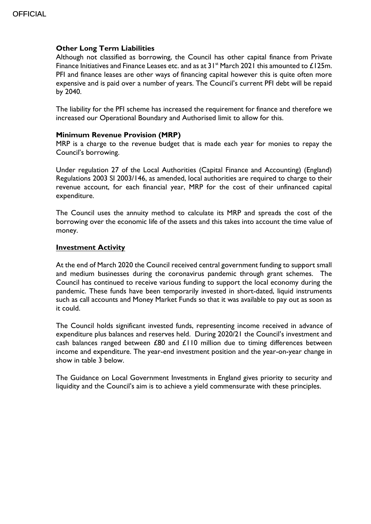#### **Other Long Term Liabilities**

Although not classified as borrowing, the Council has other capital finance from Private Finance Initiatives and Finance Leases etc. and as at  $31^{st}$  March 2021 this amounted to £125m. PFI and finance leases are other ways of financing capital however this is quite often more expensive and is paid over a number of years. The Council's current PFI debt will be repaid by 2040.

The liability for the PFI scheme has increased the requirement for finance and therefore we increased our Operational Boundary and Authorised limit to allow for this.

#### **Minimum Revenue Provision (MRP)**

MRP is a charge to the revenue budget that is made each year for monies to repay the Council's borrowing.

Under regulation 27 of the Local Authorities (Capital Finance and Accounting) (England) Regulations 2003 SI 2003/146, as amended, local authorities are required to charge to their revenue account, for each financial year, MRP for the cost of their unfinanced capital expenditure.

The Council uses the annuity method to calculate its MRP and spreads the cost of the borrowing over the economic life of the assets and this takes into account the time value of money.

#### **Investment Activity**

At the end of March 2020 the Council received central government funding to support small and medium businesses during the coronavirus pandemic through grant schemes. The Council has continued to receive various funding to support the local economy during the pandemic. These funds have been temporarily invested in short-dated, liquid instruments such as call accounts and Money Market Funds so that it was available to pay out as soon as it could.

The Council holds significant invested funds, representing income received in advance of expenditure plus balances and reserves held. During 2020/21 the Council's investment and cash balances ranged between £80 and £110 million due to timing differences between income and expenditure. The year-end investment position and the year-on-year change in show in table 3 below.

The Guidance on Local Government Investments in England gives priority to security and liquidity and the Council's aim is to achieve a yield commensurate with these principles.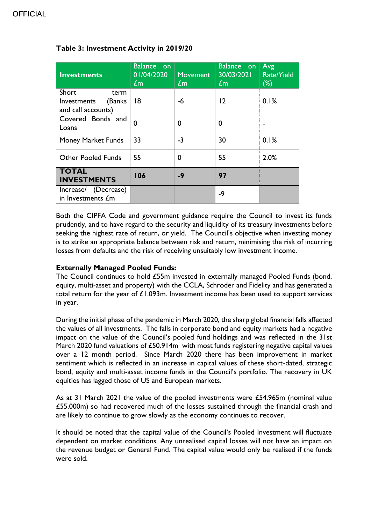| <b>Investments</b>                                            | <b>Balance</b> on<br>01/04/2020<br>$\pounds$ m | <b>Movement</b><br>$\mathbf{f}$ m | Balance on<br>30/03/2021<br>$\mathbf{f}$ m | Avg<br><b>Rate/Yield</b><br>$(\%)$ |
|---------------------------------------------------------------|------------------------------------------------|-----------------------------------|--------------------------------------------|------------------------------------|
| Short<br>term<br>(Banks)<br>Investments<br>and call accounts) | 18                                             | -6                                | 12                                         | 0.1%                               |
| Covered Bonds and<br>Loans                                    | $\mathbf 0$                                    | 0                                 | 0                                          |                                    |
| <b>Money Market Funds</b>                                     | 33                                             | $-3$                              | 30                                         | 0.1%                               |
| <b>Other Pooled Funds</b>                                     | 55                                             | 0                                 | 55                                         | 2.0%                               |
| <b>TOTAL</b><br><b>INVESTMENTS</b>                            | 106                                            | $-9$                              | 97                                         |                                    |
| Increase/ (Decrease)<br>in Investments £m                     |                                                |                                   | $-9$                                       |                                    |

## **Table 3: Investment Activity in 2019/20**

Both the CIPFA Code and government guidance require the Council to invest its funds prudently, and to have regard to the security and liquidity of its treasury investments before seeking the highest rate of return, or yield. The Council's objective when investing money is to strike an appropriate balance between risk and return, minimising the risk of incurring losses from defaults and the risk of receiving unsuitably low investment income.

#### **Externally Managed Pooled Funds:**

The Council continues to hold £55m invested in externally managed Pooled Funds (bond, equity, multi-asset and property) with the CCLA, Schroder and Fidelity and has generated a total return for the year of  $£1.093m$ . Investment income has been used to support services in year.

During the initial phase of the pandemic in March 2020, the sharp global financial falls affected the values of all investments. The falls in corporate bond and equity markets had a negative impact on the value of the Council's pooled fund holdings and was reflected in the 31st March 2020 fund valuations of £50.914m with most funds registering negative capital values over a 12 month period. Since March 2020 there has been improvement in market sentiment which is reflected in an increase in capital values of these short-dated, strategic bond, equity and multi-asset income funds in the Council's portfolio. The recovery in UK equities has lagged those of US and European markets.

As at 31 March 2021 the value of the pooled investments were £54.965m (nominal value £55.000m) so had recovered much of the losses sustained through the financial crash and are likely to continue to grow slowly as the economy continues to recover.

It should be noted that the capital value of the Council's Pooled Investment will fluctuate dependent on market conditions. Any unrealised capital losses will not have an impact on the revenue budget or General Fund. The capital value would only be realised if the funds were sold.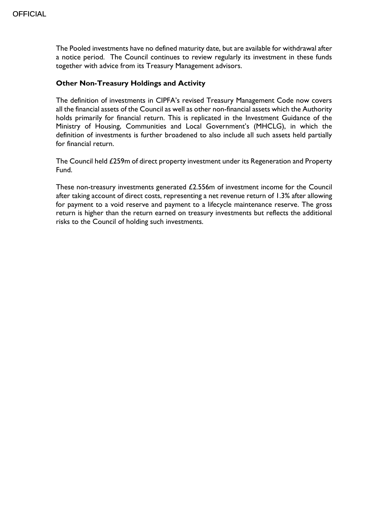The Pooled investments have no defined maturity date, but are available for withdrawal after a notice period. The Council continues to review regularly its investment in these funds together with advice from its Treasury Management advisors.

#### **Other Non-Treasury Holdings and Activity**

The definition of investments in CIPFA's revised Treasury Management Code now covers all the financial assets of the Council as well as other non-financial assets which the Authority holds primarily for financial return. This is replicated in the Investment Guidance of the Ministry of Housing, Communities and Local Government's (MHCLG), in which the definition of investments is further broadened to also include all such assets held partially for financial return.

The Council held £259m of direct property investment under its Regeneration and Property Fund.

These non-treasury investments generated £2.556m of investment income for the Council after taking account of direct costs, representing a net revenue return of 1.3% after allowing for payment to a void reserve and payment to a lifecycle maintenance reserve. The gross return is higher than the return earned on treasury investments but reflects the additional risks to the Council of holding such investments.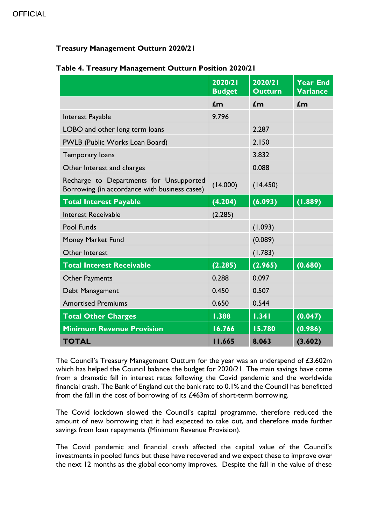## **OFFICIAL**

## **Treasury Management Outturn 2020/21**

|                                                                                          | 2020/21<br><b>Budget</b> | 2020/21<br><b>Outturn</b> | <b>Year End</b><br><b>Variance</b> |
|------------------------------------------------------------------------------------------|--------------------------|---------------------------|------------------------------------|
|                                                                                          | $\mathbf{f}$ m           | $\mathbf{f}$ m            | $\mathbf{f}$ m                     |
| Interest Payable                                                                         | 9.796                    |                           |                                    |
| LOBO and other long term loans                                                           |                          | 2.287                     |                                    |
| PWLB (Public Works Loan Board)                                                           |                          | 2.150                     |                                    |
| Temporary loans                                                                          |                          | 3.832                     |                                    |
| Other Interest and charges                                                               |                          | 0.088                     |                                    |
| Recharge to Departments for Unsupported<br>Borrowing (in accordance with business cases) | (14.000)                 | (14.450)                  |                                    |
| <b>Total Interest Payable</b>                                                            | (4.204)                  | (6.093)                   | (1.889)                            |
| <b>Interest Receivable</b>                                                               | (2.285)                  |                           |                                    |
| <b>Pool Funds</b>                                                                        |                          | (1.093)                   |                                    |
| Money Market Fund                                                                        |                          | (0.089)                   |                                    |
| Other Interest                                                                           |                          | (1.783)                   |                                    |
| <b>Total Interest Receivable</b>                                                         | (2.285)                  | (2.965)                   | (0.680)                            |
| <b>Other Payments</b>                                                                    | 0.288                    | 0.097                     |                                    |
| Debt Management                                                                          | 0.450                    | 0.507                     |                                    |
| <b>Amortised Premiums</b>                                                                | 0.650                    | 0.544                     |                                    |
| <b>Total Other Charges</b>                                                               | 1.388                    | 1.341                     | (0.047)                            |
| <b>Minimum Revenue Provision</b>                                                         | 16.766                   | 15.780                    | (0.986)                            |
| <b>TOTAL</b>                                                                             | 11.665                   | 8.063                     | (3.602)                            |

## **Table 4. Treasury Management Outturn Position 2020/21**

The Council's Treasury Management Outturn for the year was an underspend of £3.602m which has helped the Council balance the budget for 2020/21. The main savings have come from a dramatic fall in interest rates following the Covid pandemic and the worldwide financial crash. The Bank of England cut the bank rate to 0.1% and the Council has benefitted from the fall in the cost of borrowing of its £463m of short-term borrowing.

The Covid lockdown slowed the Council's capital programme, therefore reduced the amount of new borrowing that it had expected to take out, and therefore made further savings from loan repayments (Minimum Revenue Provision).

The Covid pandemic and financial crash affected the capital value of the Council's investments in pooled funds but these have recovered and we expect these to improve over the next 12 months as the global economy improves. Despite the fall in the value of these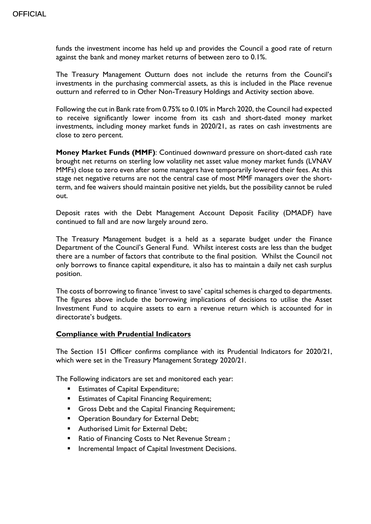funds the investment income has held up and provides the Council a good rate of return against the bank and money market returns of between zero to 0.1%.

The Treasury Management Outturn does not include the returns from the Council's investments in the purchasing commercial assets, as this is included in the Place revenue outturn and referred to in Other Non-Treasury Holdings and Activity section above.

Following the cut in Bank rate from 0.75% to 0.10% in March 2020, the Council had expected to receive significantly lower income from its cash and short-dated money market investments, including money market funds in 2020/21, as rates on cash investments are close to zero percent.

**Money Market Funds (MMF)**: Continued downward pressure on short-dated cash rate brought net returns on sterling low volatility net asset value money market funds (LVNAV MMFs) close to zero even after some managers have temporarily lowered their fees. At this stage net negative returns are not the central case of most MMF managers over the shortterm, and fee waivers should maintain positive net yields, but the possibility cannot be ruled out.

Deposit rates with the Debt Management Account Deposit Facility (DMADF) have continued to fall and are now largely around zero.

The Treasury Management budget is a held as a separate budget under the Finance Department of the Council's General Fund. Whilst interest costs are less than the budget there are a number of factors that contribute to the final position. Whilst the Council not only borrows to finance capital expenditure, it also has to maintain a daily net cash surplus position.

The costs of borrowing to finance 'invest to save' capital schemes is charged to departments. The figures above include the borrowing implications of decisions to utilise the Asset Investment Fund to acquire assets to earn a revenue return which is accounted for in directorate's budgets.

#### **Compliance with Prudential Indicators**

The Section 151 Officer confirms compliance with its Prudential Indicators for 2020/21, which were set in the Treasury Management Strategy 2020/21.

The Following indicators are set and monitored each year:

- **Estimates of Capital Expenditure;**
- **Estimates of Capital Financing Requirement;**
- Gross Debt and the Capital Financing Requirement;
- **Operation Boundary for External Debt;**
- **Authorised Limit for External Debt;**
- Ratio of Financing Costs to Net Revenue Stream ;
- Incremental Impact of Capital Investment Decisions.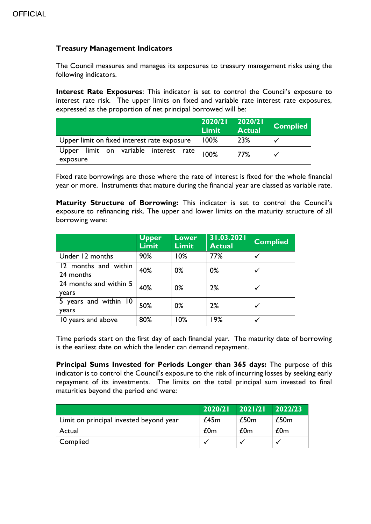## **Treasury Management Indicators**

The Council measures and manages its exposures to treasury management risks using the following indicators.

**Interest Rate Exposures**: This indicator is set to control the Council's exposure to interest rate risk. The upper limits on fixed and variable rate interest rate exposures, expressed as the proportion of net principal borrowed will be:

|                                                   | 2020/21<br>Limit | 2020/21<br><b>Actual</b> | <b>Complied</b> |
|---------------------------------------------------|------------------|--------------------------|-----------------|
| Upper limit on fixed interest rate exposure       | 100%             | 23%                      |                 |
| Upper limit on variable interest rate<br>exposure | 100%             | 77%                      |                 |

Fixed rate borrowings are those where the rate of interest is fixed for the whole financial year or more. Instruments that mature during the financial year are classed as variable rate.

**Maturity Structure of Borrowing:** This indicator is set to control the Council's exposure to refinancing risk. The upper and lower limits on the maturity structure of all borrowing were:

|                                   | <b>Upper</b><br><b>Limit</b> | <b>Lower</b><br><b>Limit</b> | 31.03.2021<br><b>Actual</b> | <b>Complied</b> |
|-----------------------------------|------------------------------|------------------------------|-----------------------------|-----------------|
| Under 12 months                   | 90%                          | 10%                          | 77%                         | $\checkmark$    |
| 12 months and within<br>24 months | 40%                          | $0\%$                        | $0\%$                       | $\checkmark$    |
| 24 months and within 5<br>years   | 40%                          | $0\%$                        | 2%                          | $\checkmark$    |
| 5 years and within 10<br>years    | 50%                          | 0%                           | 2%                          | $\checkmark$    |
| 10 years and above                | 80%                          | 10%                          | 19%                         |                 |

Time periods start on the first day of each financial year. The maturity date of borrowing is the earliest date on which the lender can demand repayment.

**Principal Sums Invested for Periods Longer than 365 days:** The purpose of this indicator is to control the Council's exposure to the risk of incurring losses by seeking early repayment of its investments. The limits on the total principal sum invested to final maturities beyond the period end were:

|                                         | 2020/21 | 2021/21 | 2022/23 |
|-----------------------------------------|---------|---------|---------|
| Limit on principal invested beyond year | £45m    | £50m    | £50m    |
| Actual                                  | £0m     | £0m     | £0m     |
| Complied                                |         |         |         |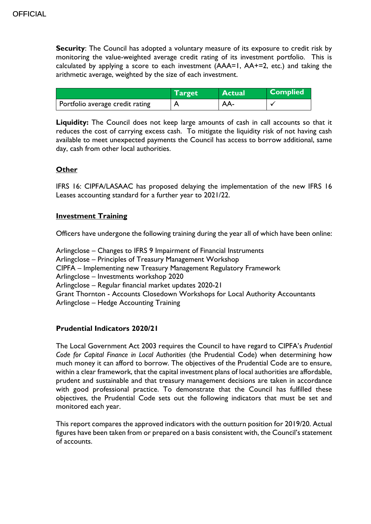**Security:** The Council has adopted a voluntary measure of its exposure to credit risk by monitoring the value-weighted average credit rating of its investment portfolio. This is calculated by applying a score to each investment (AAA=1, AA+=2, etc.) and taking the arithmetic average, weighted by the size of each investment.

|                                 | <b>Target</b> | <b>Actual</b> | <b>Complied</b> |
|---------------------------------|---------------|---------------|-----------------|
| Portfolio average credit rating |               | AA-           |                 |

Liquidity: The Council does not keep large amounts of cash in call accounts so that it reduces the cost of carrying excess cash. To mitigate the liquidity risk of not having cash available to meet unexpected payments the Council has access to borrow additional, same day, cash from other local authorities.

#### **Other**

IFRS 16: CIPFA/LASAAC has proposed delaying the implementation of the new IFRS 16 Leases accounting standard for a further year to 2021/22.

#### **Investment Training**

Officers have undergone the following training during the year all of which have been online:

Arlingclose – Changes to IFRS 9 Impairment of Financial Instruments Arlingclose – Principles of Treasury Management Workshop CIPFA – Implementing new Treasury Management Regulatory Framework Arlingclose – Investments workshop 2020 Arlingclose – Regular financial market updates 2020-21 Grant Thornton - Accounts Closedown Workshops for Local Authority Accountants Arlingclose – Hedge Accounting Training

#### **Prudential Indicators 2020/21**

The Local Government Act 2003 requires the Council to have regard to CIPFA's *Prudential Code for Capital Finance in Local Authorities* (the Prudential Code) when determining how much money it can afford to borrow. The objectives of the Prudential Code are to ensure, within a clear framework, that the capital investment plans of local authorities are affordable, prudent and sustainable and that treasury management decisions are taken in accordance with good professional practice. To demonstrate that the Council has fulfilled these objectives, the Prudential Code sets out the following indicators that must be set and monitored each year.

This report compares the approved indicators with the outturn position for 2019/20. Actual figures have been taken from or prepared on a basis consistent with, the Council's statement of accounts.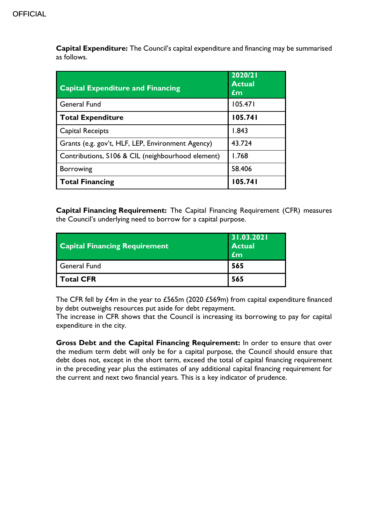**Capital Expenditure:** The Council's capital expenditure and financing may be summarised as follows.

| <b>Capital Expenditure and Financing</b>          | 2020/21<br><b>Actual</b><br>£m |
|---------------------------------------------------|--------------------------------|
| <b>General Fund</b>                               | 105.471                        |
| <b>Total Expenditure</b>                          | 105.741                        |
| Capital Receipts                                  | 1.843                          |
| Grants (e.g. gov't, HLF, LEP, Environment Agency) | 43.724                         |
| Contributions, S106 & CIL (neighbourhood element) | 1.768                          |
| <b>Borrowing</b>                                  | 58.406                         |
| <b>Total Financing</b>                            | 105.741                        |

**Capital Financing Requirement:** The Capital Financing Requirement (CFR) measures the Council's underlying need to borrow for a capital purpose.

| <b>Capital Financing Requirement</b> | 31.03.2021<br><b>Actual</b><br>£m |
|--------------------------------------|-----------------------------------|
| General Fund                         | 565                               |
| Total CFR                            | 565                               |

The CFR fell by £4m in the year to £565m (2020 £569m) from capital expenditure financed by debt outweighs resources put aside for debt repayment.

The increase in CFR shows that the Council is increasing its borrowing to pay for capital expenditure in the city.

**Gross Debt and the Capital Financing Requirement:** In order to ensure that over the medium term debt will only be for a capital purpose, the Council should ensure that debt does not, except in the short term, exceed the total of capital financing requirement in the preceding year plus the estimates of any additional capital financing requirement for the current and next two financial years. This is a key indicator of prudence.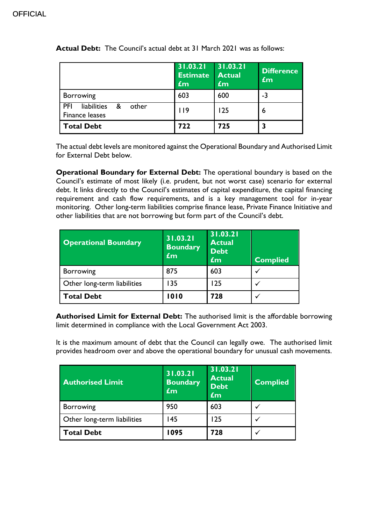|                                                           | 31.03.21<br><b>Estimate</b><br>$\mathbf{f}$ m | 31.03.21<br><b>Actual</b><br>$\mathbf{f}$ m | <b>Difference</b><br>$\mathbf{f}$ m |
|-----------------------------------------------------------|-----------------------------------------------|---------------------------------------------|-------------------------------------|
| Borrowing                                                 | 603                                           | 600                                         | $-3$                                |
| PFI<br>liabilities<br>&<br>other<br><b>Finance leases</b> | 119                                           | 125                                         | 6                                   |
| <b>Total Debt</b>                                         | 722                                           | 725                                         |                                     |

**Actual Debt:** The Council's actual debt at 31 March 2021 was as follows:

The actual debt levels are monitored against the Operational Boundary and Authorised Limit for External Debt below.

**Operational Boundary for External Debt:** The operational boundary is based on the Council's estimate of most likely (i.e. prudent, but not worst case) scenario for external debt. It links directly to the Council's estimates of capital expenditure, the capital financing requirement and cash flow requirements, and is a key management tool for in-year monitoring. Other long-term liabilities comprise finance lease, Private Finance Initiative and other liabilities that are not borrowing but form part of the Council's debt.

| <b>Operational Boundary</b> | 31.03.21<br><b>Boundary</b><br>$f_{\rm m}$ | 31.03.21<br><b>Actual</b><br><b>Debt</b><br>£m | <b>Complied</b> |
|-----------------------------|--------------------------------------------|------------------------------------------------|-----------------|
| <b>Borrowing</b>            | 875                                        | 603                                            |                 |
| Other long-term liabilities | 135                                        | 125                                            |                 |
| <b>Total Debt</b>           | 1010                                       | 728                                            |                 |

**Authorised Limit for External Debt:** The authorised limit is the affordable borrowing limit determined in compliance with the Local Government Act 2003.

It is the maximum amount of debt that the Council can legally owe. The authorised limit provides headroom over and above the operational boundary for unusual cash movements.

| <b>Authorised Limit</b>     | 31.03.21<br><b>Boundary</b><br><b>Em</b> | 31.03.21<br><b>Actual</b><br><b>Debt</b><br>£m | Complied     |
|-----------------------------|------------------------------------------|------------------------------------------------|--------------|
| <b>Borrowing</b>            | 950                                      | 603                                            | $\checkmark$ |
| Other long-term liabilities | 45                                       | 125                                            |              |
| <b>Total Debt</b>           | 1095                                     | 728                                            |              |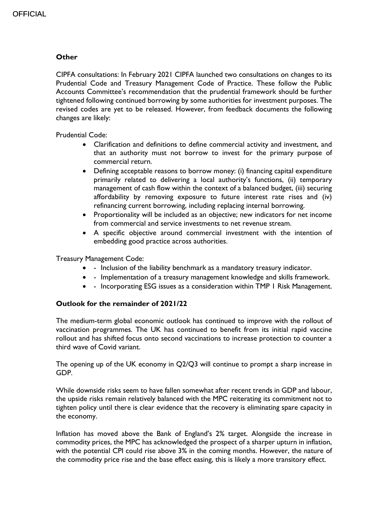#### **Other**

CIPFA consultations: In February 2021 CIPFA launched two consultations on changes to its Prudential Code and Treasury Management Code of Practice. These follow the Public Accounts Committee's recommendation that the prudential framework should be further tightened following continued borrowing by some authorities for investment purposes. The revised codes are yet to be released. However, from feedback documents the following changes are likely:

Prudential Code:

- Clarification and definitions to define commercial activity and investment, and that an authority must not borrow to invest for the primary purpose of commercial return.
- Defining acceptable reasons to borrow money: (i) financing capital expenditure primarily related to delivering a local authority's functions, (ii) temporary management of cash flow within the context of a balanced budget, (iii) securing affordability by removing exposure to future interest rate rises and (iv) refinancing current borrowing, including replacing internal borrowing.
- Proportionality will be included as an objective; new indicators for net income from commercial and service investments to net revenue stream.
- A specific objective around commercial investment with the intention of embedding good practice across authorities.

Treasury Management Code:

- - Inclusion of the liability benchmark as a mandatory treasury indicator.
- Implementation of a treasury management knowledge and skills framework.
- - Incorporating ESG issues as a consideration within TMP I Risk Management.

#### **Outlook for the remainder of 2021/22**

The medium-term global economic outlook has continued to improve with the rollout of vaccination programmes. The UK has continued to benefit from its initial rapid vaccine rollout and has shifted focus onto second vaccinations to increase protection to counter a third wave of Covid variant.

The opening up of the UK economy in Q2/Q3 will continue to prompt a sharp increase in GDP.

While downside risks seem to have fallen somewhat after recent trends in GDP and labour, the upside risks remain relatively balanced with the MPC reiterating its commitment not to tighten policy until there is clear evidence that the recovery is eliminating spare capacity in the economy.

Inflation has moved above the Bank of England's 2% target. Alongside the increase in commodity prices, the MPC has acknowledged the prospect of a sharper upturn in inflation, with the potential CPI could rise above 3% in the coming months. However, the nature of the commodity price rise and the base effect easing, this is likely a more transitory effect.